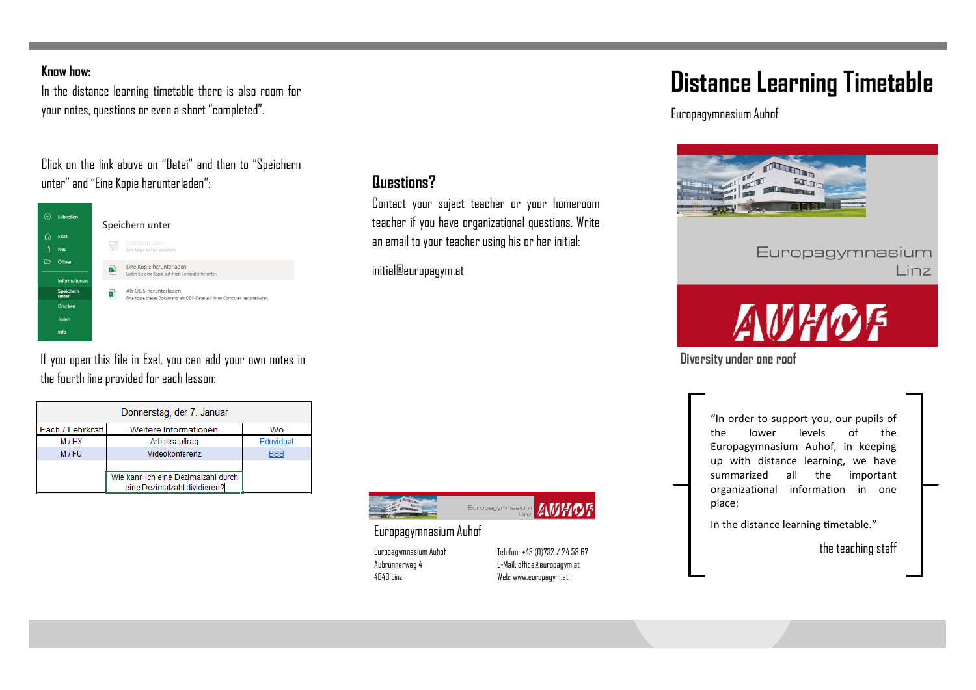#### **Know how:**

In the distance learning timetable there is also room for your notes, questions or even a short "completed".

## Click on the link above on "Datei" and then to "Speichern unter" and "Eine Kopie herunterladen":



If you open this file in Exel, you can add your own notes in the fourth line provided for each lesson:

| Donnerstag, der 7. Januar |                                     |            |  |  |
|---------------------------|-------------------------------------|------------|--|--|
| Fach / Lehrkraft          | Weitere Informationen               | Wo         |  |  |
| M/HX                      | Arbeitsauftrag                      | Eduvidual  |  |  |
| M/FU                      | Videokonferenz                      | <b>BBB</b> |  |  |
|                           |                                     |            |  |  |
|                           | Wie kann ich eine Dezimalzahl durch |            |  |  |
|                           | eine Dezimalzahl dividieren?        |            |  |  |

**Questions?**

Contact your suject teacher or your homeroom teacher if you have organizational questions. Write an email to your teacher using his or her initial:

initial@europagym.at



Europagymnasium Auhof

Europagymnasium Auhof Aubrunnerweg 4 4040 Linz

Telefon: +43 (0)732 / 24 58 67 E-Mail: office@europagym.at Web: www.europagym.at

# **Distance Learning Timetable**

Europagymnasium Auhof



## Europagymnasium Linz



**Diversity under one roof**

"In order to support you, our pupils of the lower levels of the Europagymnasium Auhof, in keeping up with distance learning, we have summarized all the important organizational information in one place:

In the distance learning timetable."

the teaching staff